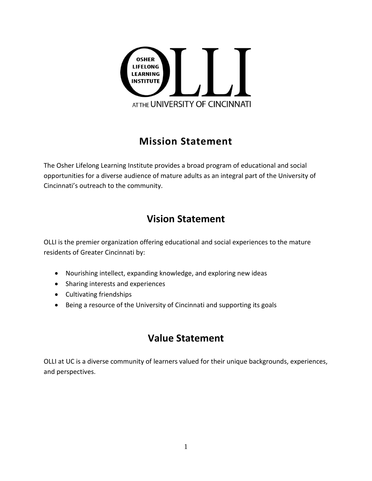

## **Mission Statement**

The Osher Lifelong Learning Institute provides a broad program of educational and social opportunities for a diverse audience of mature adults as an integral part of the University of Cincinnati's outreach to the community.

## **Vision Statement**

OLLI is the premier organization offering educational and social experiences to the mature residents of Greater Cincinnati by:

- Nourishing intellect, expanding knowledge, and exploring new ideas
- Sharing interests and experiences
- Cultivating friendships
- Being a resource of the University of Cincinnati and supporting its goals

## **Value Statement**

OLLI at UC is a diverse community of learners valued for their unique backgrounds, experiences, and perspectives.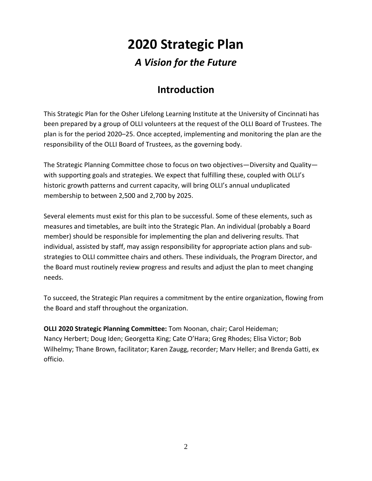# **2020 Strategic Plan**

## *A Vision for the Future*

## **Introduction**

This Strategic Plan for the Osher Lifelong Learning Institute at the University of Cincinnati has been prepared by a group of OLLI volunteers at the request of the OLLI Board of Trustees. The plan is for the period 2020–25. Once accepted, implementing and monitoring the plan are the responsibility of the OLLI Board of Trustees, as the governing body.

The Strategic Planning Committee chose to focus on two objectives—Diversity and Quality with supporting goals and strategies. We expect that fulfilling these, coupled with OLLI's historic growth patterns and current capacity, will bring OLLI's annual unduplicated membership to between 2,500 and 2,700 by 2025.

Several elements must exist for this plan to be successful. Some of these elements, such as measures and timetables, are built into the Strategic Plan. An individual (probably a Board member) should be responsible for implementing the plan and delivering results. That individual, assisted by staff, may assign responsibility for appropriate action plans and substrategies to OLLI committee chairs and others. These individuals, the Program Director, and the Board must routinely review progress and results and adjust the plan to meet changing needs.

To succeed, the Strategic Plan requires a commitment by the entire organization, flowing from the Board and staff throughout the organization.

**OLLI 2020 Strategic Planning Committee:** Tom Noonan, chair; Carol Heideman; Nancy Herbert; Doug Iden; Georgetta King; Cate O'Hara; Greg Rhodes; Elisa Victor; Bob Wilhelmy; Thane Brown, facilitator; Karen Zaugg, recorder; Marv Heller; and Brenda Gatti, ex officio.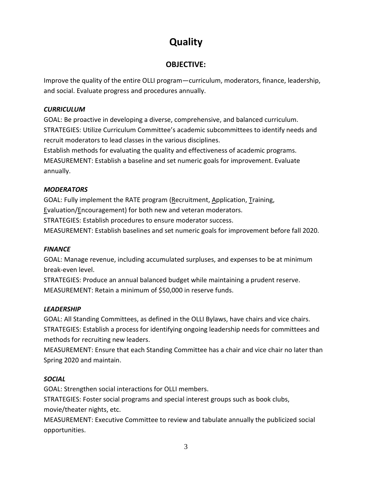# **Quality**

## **OBJECTIVE:**

Improve the quality of the entire OLLI program—curriculum, moderators, finance, leadership, and social. Evaluate progress and procedures annually.

#### *CURRICULUM*

GOAL: Be proactive in developing a diverse, comprehensive, and balanced curriculum. STRATEGIES: Utilize Curriculum Committee's academic subcommittees to identify needs and recruit moderators to lead classes in the various disciplines.

Establish methods for evaluating the quality and effectiveness of academic programs. MEASUREMENT: Establish a baseline and set numeric goals for improvement. Evaluate annually.

#### *MODERATORS*

GOAL: Fully implement the RATE program (Recruitment, Application, Training, Evaluation/Encouragement) for both new and veteran moderators. STRATEGIES: Establish procedures to ensure moderator success. MEASUREMENT: Establish baselines and set numeric goals for improvement before fall 2020.

#### *FINANCE*

GOAL: Manage revenue, including accumulated surpluses, and expenses to be at minimum break-even level.

STRATEGIES: Produce an annual balanced budget while maintaining a prudent reserve. MEASUREMENT: Retain a minimum of \$50,000 in reserve funds.

#### *LEADERSHIP*

GOAL: All Standing Committees, as defined in the OLLI Bylaws, have chairs and vice chairs. STRATEGIES: Establish a process for identifying ongoing leadership needs for committees and methods for recruiting new leaders.

MEASUREMENT: Ensure that each Standing Committee has a chair and vice chair no later than Spring 2020 and maintain.

#### *SOCIAL*

GOAL: Strengthen social interactions for OLLI members.

STRATEGIES: Foster social programs and special interest groups such as book clubs, movie/theater nights, etc.

MEASUREMENT: Executive Committee to review and tabulate annually the publicized social opportunities.

3